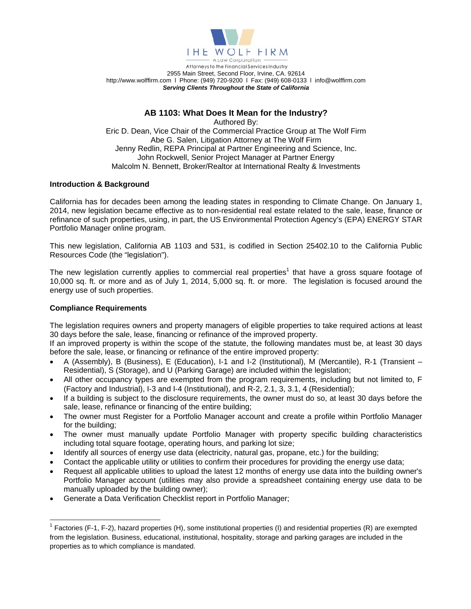

## **AB 1103: What Does It Mean for the Industry?**

Authored By: Eric D. Dean, Vice Chair of the Commercial Practice Group at The Wolf Firm Abe G. Salen, Litigation Attorney at The Wolf Firm Jenny Redlin, REPA Principal at Partner Engineering and Science, Inc. John Rockwell, Senior Project Manager at Partner Energy Malcolm N. Bennett, Broker/Realtor at International Realty & Investments

## **Introduction & Background**

California has for decades been among the leading states in responding to Climate Change. On January 1, 2014, new legislation became effective as to non-residential real estate related to the sale, lease, finance or refinance of such properties, using, in part, the US Environmental Protection Agency's (EPA) ENERGY STAR Portfolio Manager online program.

This new legislation, California AB 1103 and 531, is codified in Section 25402.10 to the California Public Resources Code (the "legislation").

The new legislation currently applies to commercial real properties<sup>1</sup> that have a gross square footage of 10,000 sq. ft. or more and as of July 1, 2014, 5,000 sq. ft. or more. The legislation is focused around the energy use of such properties.

### **Compliance Requirements**

The legislation requires owners and property managers of eligible properties to take required actions at least 30 days before the sale, lease, financing or refinance of the improved property.

If an improved property is within the scope of the statute, the following mandates must be, at least 30 days before the sale, lease, or financing or refinance of the entire improved property:

- A (Assembly), B (Business), E (Education), I‐1 and I‐2 (Institutional), M (Mercantile), R‐1 (Transient Residential), S (Storage), and U (Parking Garage) are included within the legislation;
- All other occupancy types are exempted from the program requirements, including but not limited to, F (Factory and Industrial), I‐3 and I‐4 (Institutional), and R‐2, 2.1, 3, 3.1, 4 (Residential);
- If a building is subject to the disclosure requirements, the owner must do so, at least 30 days before the sale, lease, refinance or financing of the entire building;
- The owner must Register for a Portfolio Manager account and create a profile within Portfolio Manager for the building;
- The owner must manually update Portfolio Manager with property specific building characteristics including total square footage, operating hours, and parking lot size;
- Identify all sources of energy use data (electricity, natural gas, propane, etc.) for the building;
- Contact the applicable utility or utilities to confirm their procedures for providing the energy use data;
- Request all applicable utilities to upload the latest 12 months of energy use data into the building owner's Portfolio Manager account (utilities may also provide a spreadsheet containing energy use data to be manually uploaded by the building owner);
- Generate a Data Verification Checklist report in Portfolio Manager;

<sup>&</sup>lt;sup>1</sup> Factories (F-1, F-2), hazard properties (H), some institutional properties (I) and residential properties (R) are exempted from the legislation. Business, educational, institutional, hospitality, storage and parking garages are included in the properties as to which compliance is mandated.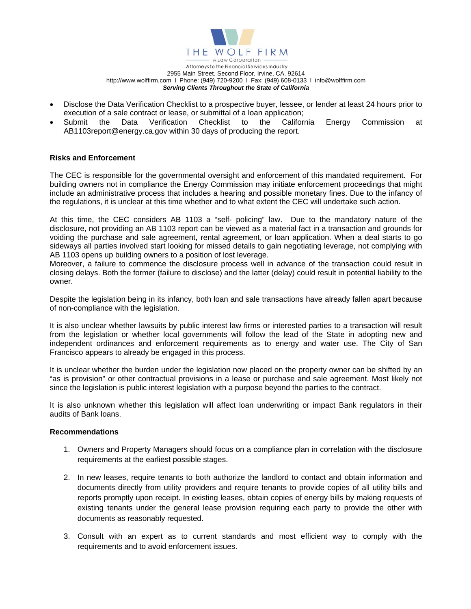

- Disclose the Data Verification Checklist to a prospective buyer, lessee, or lender at least 24 hours prior to execution of a sale contract or lease, or submittal of a loan application;
- Submit the Data Verification Checklist to the California Energy Commission at AB1103report@energy.ca.gov within 30 days of producing the report.

#### **Risks and Enforcement**

The CEC is responsible for the governmental oversight and enforcement of this mandated requirement. For building owners not in compliance the Energy Commission may initiate enforcement proceedings that might include an administrative process that includes a hearing and possible monetary fines. Due to the infancy of the regulations, it is unclear at this time whether and to what extent the CEC will undertake such action.

At this time, the CEC considers AB 1103 a "self- policing" law. Due to the mandatory nature of the disclosure, not providing an AB 1103 report can be viewed as a material fact in a transaction and grounds for voiding the purchase and sale agreement, rental agreement, or loan application. When a deal starts to go sideways all parties involved start looking for missed details to gain negotiating leverage, not complying with AB 1103 opens up building owners to a position of lost leverage.

Moreover, a failure to commence the disclosure process well in advance of the transaction could result in closing delays. Both the former (failure to disclose) and the latter (delay) could result in potential liability to the owner.

Despite the legislation being in its infancy, both loan and sale transactions have already fallen apart because of non-compliance with the legislation.

It is also unclear whether lawsuits by public interest law firms or interested parties to a transaction will result from the legislation or whether local governments will follow the lead of the State in adopting new and independent ordinances and enforcement requirements as to energy and water use. The City of San Francisco appears to already be engaged in this process.

It is unclear whether the burden under the legislation now placed on the property owner can be shifted by an "as is provision" or other contractual provisions in a lease or purchase and sale agreement. Most likely not since the legislation is public interest legislation with a purpose beyond the parties to the contract.

It is also unknown whether this legislation will affect loan underwriting or impact Bank regulators in their audits of Bank loans.

#### **Recommendations**

- 1. Owners and Property Managers should focus on a compliance plan in correlation with the disclosure requirements at the earliest possible stages.
- 2. In new leases, require tenants to both authorize the landlord to contact and obtain information and documents directly from utility providers and require tenants to provide copies of all utility bills and reports promptly upon receipt. In existing leases, obtain copies of energy bills by making requests of existing tenants under the general lease provision requiring each party to provide the other with documents as reasonably requested.
- 3. Consult with an expert as to current standards and most efficient way to comply with the requirements and to avoid enforcement issues.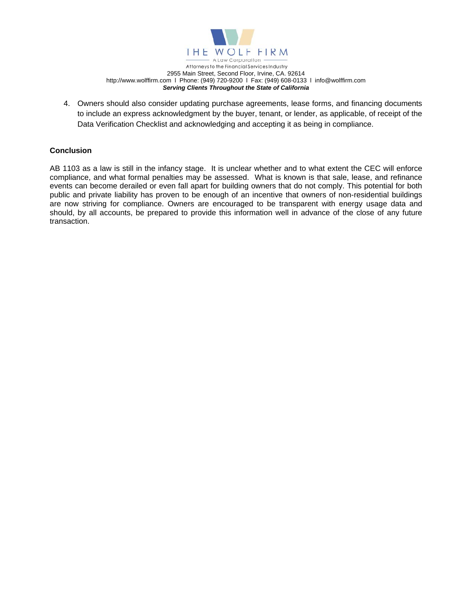

4. Owners should also consider updating purchase agreements, lease forms, and financing documents to include an express acknowledgment by the buyer, tenant, or lender, as applicable, of receipt of the Data Verification Checklist and acknowledging and accepting it as being in compliance.

### **Conclusion**

AB 1103 as a law is still in the infancy stage. It is unclear whether and to what extent the CEC will enforce compliance, and what formal penalties may be assessed. What is known is that sale, lease, and refinance events can become derailed or even fall apart for building owners that do not comply. This potential for both public and private liability has proven to be enough of an incentive that owners of non-residential buildings are now striving for compliance. Owners are encouraged to be transparent with energy usage data and should, by all accounts, be prepared to provide this information well in advance of the close of any future transaction.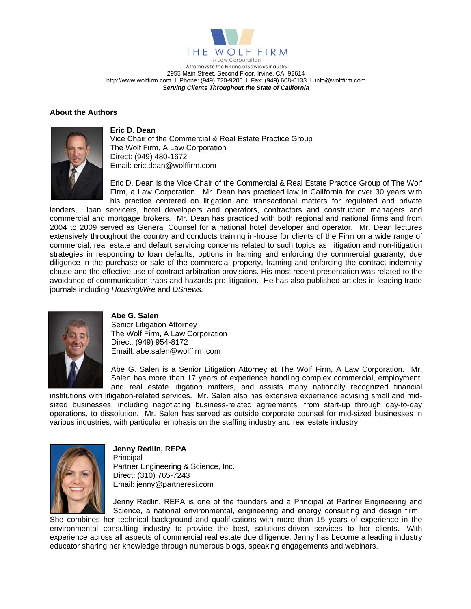

### **About the Authors**



#### **Eric D. Dean**

Vice Chair of the Commercial & Real Estate Practice Group The Wolf Firm, A Law Corporation Direct: (949) 480-1672 Email: eric.dean@wolffirm.com

Eric D. Dean is the Vice Chair of the Commercial & Real Estate Practice Group of The Wolf Firm, a Law Corporation. Mr. Dean has practiced law in California for over 30 years with his practice centered on litigation and transactional matters for regulated and private

lenders, loan servicers, hotel developers and operators, contractors and construction managers and commercial and mortgage brokers. Mr. Dean has practiced with both regional and national firms and from 2004 to 2009 served as General Counsel for a national hotel developer and operator. Mr. Dean lectures extensively throughout the country and conducts training in-house for clients of the Firm on a wide range of commercial, real estate and default servicing concerns related to such topics as litigation and non-litigation strategies in responding to loan defaults, options in framing and enforcing the commercial guaranty, due diligence in the purchase or sale of the commercial property, framing and enforcing the contract indemnity clause and the effective use of contract arbitration provisions. His most recent presentation was related to the avoidance of communication traps and hazards pre-litigation. He has also published articles in leading trade journals including *HousingWire* and *DSnews.*



#### **Abe G. Salen**

Senior Litigation Attorney The Wolf Firm, A Law Corporation Direct: (949) 954-8172 Emaill: abe.salen@wolffirm.com

Abe G. Salen is a Senior Litigation Attorney at The Wolf Firm, A Law Corporation. Mr. Salen has more than 17 years of experience handling complex commercial, employment, and real estate litigation matters, and assists many nationally recognized financial

institutions with litigation-related services. Mr. Salen also has extensive experience advising small and midsized businesses, including negotiating business-related agreements, from start-up through day-to-day operations, to dissolution. Mr. Salen has served as outside corporate counsel for mid-sized businesses in various industries, with particular emphasis on the staffing industry and real estate industry.



**Jenny Redlin, REPA**  Principal Partner Engineering & Science, Inc. Direct: (310) 765-7243 Email: jenny@partneresi.com

Jenny Redlin, REPA is one of the founders and a Principal at Partner Engineering and Science, a national environmental, engineering and energy consulting and design firm.

She combines her technical background and qualifications with more than 15 years of experience in the environmental consulting industry to provide the best, solutions-driven services to her clients. With experience across all aspects of commercial real estate due diligence, Jenny has become a leading industry educator sharing her knowledge through numerous blogs, speaking engagements and webinars.